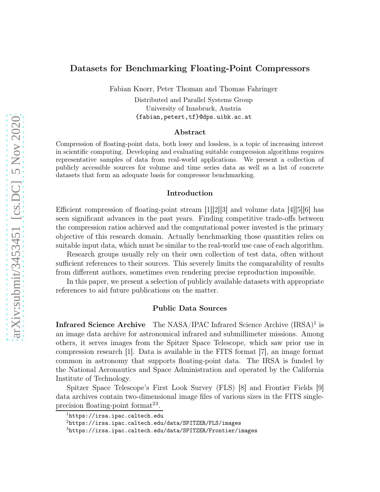## Datasets for Benchmarking Floating-Point Compressors

Fabian Knorr, Peter Thoman and Thomas Fahringer

Distributed and Parallel Systems Group University of Innsbruck, Austria <{fabian,petert,tf}@dps.uibk.ac.at>

## Abstract

Compression of floating-point data, both lossy and lossless, is a topic of increasing interest in scientific computing. Developing and evaluating suitable compression algorithms requires representative samples of data from real-world applications. We present a collection of publicly accessible sources for volume and time series data as well as a list of concrete datasets that form an adequate basis for compressor benchmarking.

### Introduction

Efficient compression of floating-point stream  $[1][2][3]$  $[1][2][3]$  $[1][2][3]$  and volume data  $[4][5][6]$  $[4][5][6]$  $[4][5][6]$  has seen significant advances in the past years. Finding competitive trade-offs between the compression ratios achieved and the computational power invested is the primary objective of this research domain. Actually benchmarking those quantities relies on suitable input data, which must be similar to the real-world use case of each algorithm.

Research groups usually rely on their own collection of test data, often without sufficient references to their sources. This severely limits the comparability of results from different authors, sometimes even rendering precise reproduction impossible.

In this paper, we present a selection of publicly available datasets with appropriate references to aid future publications on the matter.

#### Public Data Sources

Infrared Science Archive The NASA/IPAC Infrared Science Archive (IRSA)<sup>1</sup> is an image data archive for astronomical infrared and submillimeter missions. Among others, it serves images from the Spitzer Space Telescope, which saw prior use in compression research [\[1\]](#page-5-0). Data is available in the FITS format [\[7\]](#page-5-6), an image format common in astronomy that supports floating-point data. The IRSA is funded by the National Aeronautics and Space Administration and operated by the California Institute of Technology.

Spitzer Space Telescope's First Look Survey (FLS) [\[8\]](#page-5-7) and Frontier Fields [\[9\]](#page-5-8) data archives contain two-dimensional image files of various sizes in the FITS singleprecision floating-point format<sup>23</sup>.

<sup>1</sup><https://irsa.ipac.caltech.edu>

 $2$ <https://irsa.ipac.caltech.edu/data/SPITZER/FLS/images>

<sup>3</sup><https://irsa.ipac.caltech.edu/data/SPITZER/Frontier/images>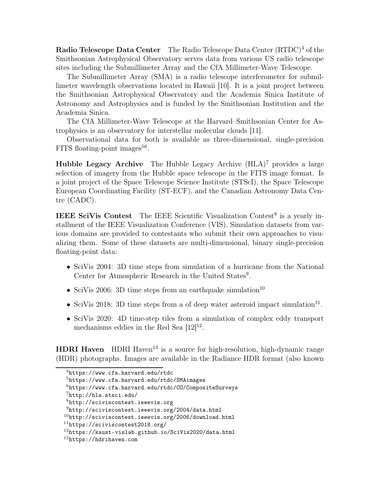Radio Telescope Data Center The Radio Telescope Data Center (RTDC)<sup>4</sup> of the Smithsonian Astrophysical Observatory serves data from various US radio telescope sites including the Submillimeter Array and the CfA Millimeter-Wave Telescope.

The Submillimeter Array (SMA) is a radio telescope interferometer for submillimeter wavelength observations located in Hawaii [\[10\]](#page-5-9). It is a joint project between the Smithsonian Astrophysical Observatory and the Academia Sinica Institute of Astronomy and Astrophysics and is funded by the Smithsonian Institution and the Academia Sinica.

The CfA Millimeter-Wave Telescope at the Harvard–Smithsonian Center for Astrophysics is an observatory for interstellar molecular clouds [\[11\]](#page-5-10).

Observational data for both is available as three-dimensional, single-precision FITS floating-point images<sup>56</sup>.

**Hubble Legacy Archive** The Hubble Legacy Archive  $(HLA)^7$  provides a large selection of imagery from the Hubble space telescope in the FITS image format. Is a joint project of the Space Telescope Science Institute (STScI), the Space Telescope European Coordinating Facility (ST-ECF), and the Canadian Astronomy Data Centre (CADC).

**IEEE SciVis Contest** The IEEE Scientific Visualization Contest<sup>8</sup> is a yearly installment of the IEEE Visualization Conference (VIS). Simulation datasets from various domains are provided to contestants who submit their own approaches to visualizing them. Some of these datasets are multi-dimensional, binary single-precision floating-point data:

- SciVis 2004: 3D time steps from simulation of a hurricane from the National Center for Atmospheric Research in the United States<sup>9</sup>.
- SciVis 2006: 3D time steps from an earthquake simulation<sup>10</sup>
- SciVis 2018: 3D time steps from a of deep water asteroid impact simulation<sup>11</sup>.
- SciVis 2020: 4D time-step tiles from a simulation of complex eddy transport mechanisms eddies in the Red Sea  $[12]^{12}$ .

**HDRI Haven** HDRI Haven<sup>13</sup> is a source for high-resolution, high-dynamic range (HDR) photographs. Images are available in the Radiance HDR format (also known

 $4$ <https://www.cfa.harvard.edu/rtdc>

<sup>5</sup><https://www.cfa.harvard.edu/rtdc/SMAimages>

 $6$ <https://www.cfa.harvard.edu/rtdc/CO/CompositeSurveys>

 $7$ <http://hla.stsci.edu/>

<sup>8</sup><http://sciviscontest.ieeevis.org>

 $9$ <http://sciviscontest.ieeevis.org/2004/data.html>

 $10$ <http://sciviscontest.ieeevis.org/2006/download.html>

<sup>11</sup><https://sciviscontest2018.org/>

 $12$ <https://kaust-vislab.github.io/SciVis2020/data.html>

<sup>13</sup><https://hdrihaven.com>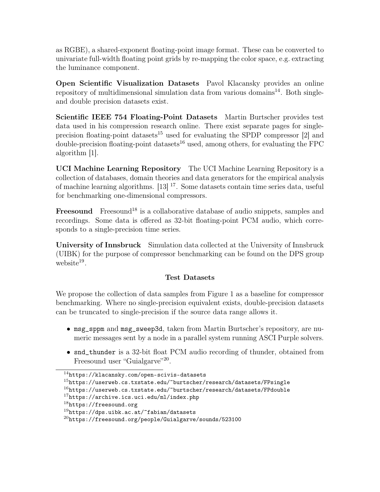as RGBE), a shared-exponent floating-point image format. These can be converted to univariate full-width floating point grids by re-mapping the color space, e.g. extracting the luminance component.

Open Scientific Visualization Datasets Pavol Klacansky provides an online repository of multidimensional simulation data from various domains $^{14}$ . Both singleand double precision datasets exist.

Scientific IEEE 754 Floating-Point Datasets Martin Burtscher provides test data used in his compression research online. There exist separate pages for singleprecision floating-point datasets<sup>15</sup> used for evaluating the SPDP compressor  $[2]$  and  $\alpha$  double-precision floating-point datasets<sup>16</sup> used, among others, for evaluating the FPC algorithm [\[1\]](#page-5-0).

UCI Machine Learning Repository The UCI Machine Learning Repository is a collection of databases, domain theories and data generators for the empirical analysis of machine learning algorithms.  $[13]$ <sup>17</sup>. Some datasets contain time series data, useful for benchmarking one-dimensional compressors.

**Freesound** Freesound<sup>18</sup> is a collaborative database of audio snippets, samples and recordings. Some data is offered as 32-bit floating-point PCM audio, which corresponds to a single-precision time series.

University of Innsbruck Simulation data collected at the University of Innsbruck (UIBK) for the purpose of compressor benchmarking can be found on the DPS group  $we b site<sup>19</sup>$ .

# Test Datasets

We propose the collection of data samples from Figure [1](#page-3-0) as a baseline for compressor benchmarking. Where no single-precision equivalent exists, double-precision datasets can be truncated to single-precision if the source data range allows it.

- msg\_sppm and msg\_sweep3d, taken from Martin Burtscher's repository, are numeric messages sent by a node in a parallel system running ASCI Purple solvers.
- snd\_thunder is a 32-bit float PCM audio recording of thunder, obtained from Freesound user "Guialgarve"<sup>20</sup>.

<sup>14</sup><https://klacansky.com/open-scivis-datasets>

 $15$ <https://userweb.cs.txstate.edu/~burtscher/research/datasets/FPsingle>

 $16$ <https://userweb.cs.txstate.edu/~burtscher/research/datasets/FPdouble>

 $17$ <https://archive.ics.uci.edu/ml/index.php>

 $18$ <https://freesound.org>

 $19$ <https://dps.uibk.ac.at/~fabian/datasets>

 $^{20}$ <https://freesound.org/people/Guialgarve/sounds/523100>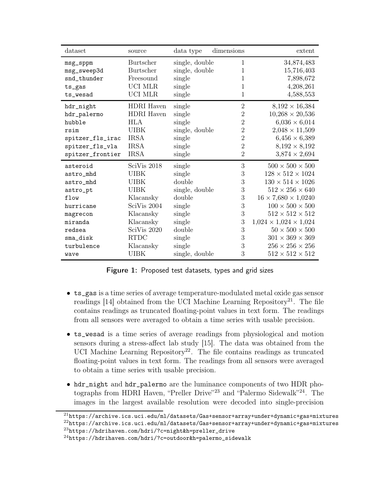<span id="page-3-0"></span>

| dataset          | source            | data type      | dimensions     | extent                              |
|------------------|-------------------|----------------|----------------|-------------------------------------|
| msg_sppm         | Burtscher         | single, double | 1              | 34,874,483                          |
| msg_sweep3d      | <b>Burtscher</b>  | single, double | 1              | 15,716,403                          |
| snd_thunder      | Freesound         | single         | 1              | 7,898,672                           |
| $ts_{gas}$       | UCI MLR           | single         | 1              | 4,208,261                           |
| ts_wesad         | UCI MLR           | single         | 1              | 4,588,553                           |
| hdr_night        | HDRI Haven        | single         | $\overline{2}$ | $8,192 \times 16,384$               |
| hdr_palermo      | <b>HDRI</b> Haven | single         | $\overline{2}$ | $10,268 \times 20,536$              |
| hubble           | <b>HLA</b>        | single         | $\overline{2}$ | $6,036 \times 6,014$                |
| rsim             | <b>UIBK</b>       | single, double | $\overline{2}$ | $2,048 \times 11,509$               |
| spitzer_fls_irac | <b>IRSA</b>       | single         | $\overline{2}$ | $6,456 \times 6,389$                |
| spitzer_fls_vla  | <b>IRSA</b>       | single         | $\overline{2}$ | $8,192 \times 8,192$                |
| spitzer_frontier | <b>IRSA</b>       | single         | $\overline{2}$ | $3,874 \times 2,694$                |
| asteroid         | SciVis 2018       | single         | 3              | $500 \times 500 \times 500$         |
| astro_mhd        | <b>UIBK</b>       | single         | 3              | $128 \times 512 \times 1024$        |
| astro_mhd        | UIBK              | double         | 3              | $130 \times 514 \times 1026$        |
| astro_pt         | UIBK              | single, double | 3              | $512 \times 256 \times 640$         |
| flow             | Klacansky         | double         | 3              | $16 \times 7{,}680 \times 1{,}0240$ |
| hurricane        | SciVis 2004       | single         | 3              | $100 \times 500 \times 500$         |
| magrecon         | Klacansky         | single         | 3              | $512 \times 512 \times 512$         |
| miranda          | Klacansky         | single         | 3              | $1,024 \times 1,024 \times 1,024$   |
| redsea           | SciVis 2020       | double         | 3              | $50 \times 500 \times 500$          |
| sma_disk         | <b>RTDC</b>       | single         | 3              | $301 \times 369 \times 369$         |
| turbulence       | Klacansky         | single         | 3              | $256 \times 256 \times 256$         |
| wave             | <b>UIBK</b>       | single, double | 3              | $512 \times 512 \times 512$         |

Figure 1: Proposed test datasets, types and grid sizes

- ts\_gas is a time series of average temperature-modulated metal oxide gas sensor readings  $[14]$  obtained from the UCI Machine Learning Repository<sup>21</sup>. The file contains readings as truncated floating-point values in text form. The readings from all sensors were averaged to obtain a time series with usable precision.
- ts\_wesad is a time series of average readings from physiological and motion sensors during a stress-affect lab study [\[15\]](#page-6-1). The data was obtained from the UCI Machine Learning Repository<sup>22</sup>. The file contains readings as truncated floating-point values in text form. The readings from all sensors were averaged to obtain a time series with usable precision.
- hdr\_night and hdr\_palermo are the luminance components of two HDR photographs from HDRI Haven, "Preller Drive"<sup>23</sup> and "Palermo Sidewalk"<sup>24</sup>. The images in the largest available resolution were decoded into single-precision

 $^{21}$ <https://archive.ics.uci.edu/ml/datasets/Gas+sensor+array+under+dynamic+gas+mixtures>

<sup>22</sup><https://archive.ics.uci.edu/ml/datasets/Gas+sensor+array+under+dynamic+gas+mixtures>

<sup>23</sup>[https://hdrihaven.com/hdri/?c=night&h=preller\\_drive](https://hdrihaven.com/hdri/?c=night&h=preller_drive)

 $24$ [https://hdrihaven.com/hdri/?c=outdoor&h=palermo\\_sidewalk](https://hdrihaven.com/hdri/?c=outdoor&h=palermo_sidewalk)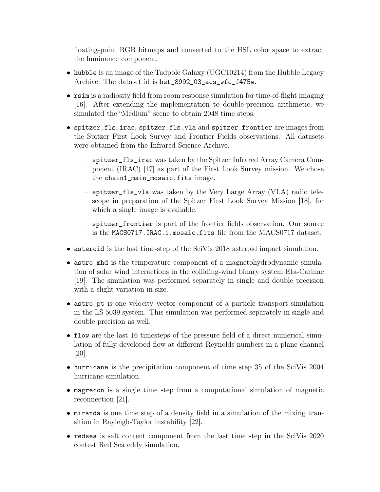floating-point RGB bitmaps and converted to the HSL color space to extract the luminance component.

- hubble is an image of the Tadpole Galaxy (UGC10214) from the Hubble Legacy Archive. The dataset id is hst\_8992\_03\_acs\_wfc\_f475w.
- rsim is a radiosity field from room response simulation for time-of-flight imaging [\[16\]](#page-6-2). After extending the implementation to double-precision arithmetic, we simulated the "Medium" scene to obtain 2048 time steps.
- spitzer\_fls\_irac, spitzer\_fls\_vla and spitzer\_frontier are images from the Spitzer First Look Survey and Frontier Fields observations. All datasets were obtained from the Infrared Science Archive.
	- spitzer\_fls\_irac was taken by the Spitzer Infrared Array Camera Component (IRAC) [\[17\]](#page-6-3) as part of the First Look Survey mission. We chose the chain1\_main\_mosaic.fits image.
	- spitzer\_fls\_vla was taken by the Very Large Array (VLA) radio telescope in preparation of the Spitzer First Look Survey Mission [\[18\]](#page-6-4), for which a single image is available.
	- spitzer\_frontier is part of the frontier fields observation. Our source is the MACS0717.IRAC.1.mosaic.fits file from the MACS0717 dataset.
- asteroid is the last time-step of the SciVis 2018 asteroid impact simulation.
- astro\_mhd is the temperature component of a magnetohydrodynamic simulation of solar wind interactions in the colliding-wind binary system Eta-Carinae [\[19\]](#page-6-5). The simulation was performed separately in single and double precision with a slight variation in size.
- astro\_pt is one velocity vector component of a particle transport simulation in the LS 5039 system. This simulation was performed separately in single and double precision as well.
- flow are the last 16 timesteps of the pressure field of a direct numerical simulation of fully developed flow at different Reynolds numbers in a plane channel [\[20\]](#page-6-6).
- hurricane is the precipitation component of time step 35 of the SciVis 2004 hurricane simulation.
- magrecon is a single time step from a computational simulation of magnetic reconnection [\[21\]](#page-6-7).
- miranda is one time step of a density field in a simulation of the mixing transition in Rayleigh-Taylor instability [\[22\]](#page-6-8).
- redsea is salt content component from the last time step in the SciVis 2020 contest Red Sea eddy simulation.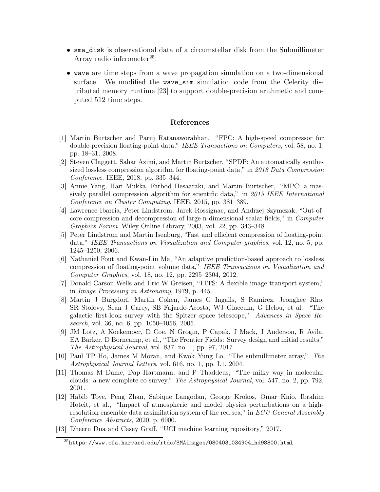- sma\_disk is observational data of a circumstellar disk from the Submillimeter Array radio inferometer<sup>25</sup>.
- wave are time steps from a wave propagation simulation on a two-dimensional surface. We modified the wave\_sim simulation code from the Celerity distributed memory runtime [\[23\]](#page-6-9) to support double-precision arithmetic and computed 512 time steps.

## References

- <span id="page-5-0"></span>[1] Martin Burtscher and Paruj Ratanaworabhan, "FPC: A high-speed compressor for double-precision floating-point data," IEEE Transactions on Computers, vol. 58, no. 1, pp. 18–31, 2008.
- <span id="page-5-1"></span>[2] Steven Claggett, Sahar Azimi, and Martin Burtscher, "SPDP: An automatically synthesized lossless compression algorithm for floating-point data," in 2018 Data Compression Conference. IEEE, 2018, pp. 335–344.
- <span id="page-5-2"></span>[3] Annie Yang, Hari Mukka, Farbod Hesaaraki, and Martin Burtscher, "MPC: a massively parallel compression algorithm for scientific data," in 2015 IEEE International Conference on Cluster Computing. IEEE, 2015, pp. 381–389.
- <span id="page-5-3"></span>[4] Lawrence Ibarria, Peter Lindstrom, Jarek Rossignac, and Andrzej Szymczak, "Out-ofcore compression and decompression of large n-dimensional scalar fields," in Computer Graphics Forum. Wiley Online Library, 2003, vol. 22, pp. 343–348.
- <span id="page-5-4"></span>[5] Peter Lindstrom and Martin Isenburg, "Fast and efficient compression of floating-point data," IEEE Transactions on Visualization and Computer graphics, vol. 12, no. 5, pp. 1245–1250, 2006.
- <span id="page-5-5"></span>[6] Nathaniel Fout and Kwan-Liu Ma, "An adaptive prediction-based approach to lossless compression of floating-point volume data," IEEE Transactions on Visualization and Computer Graphics, vol. 18, no. 12, pp. 2295–2304, 2012.
- <span id="page-5-7"></span><span id="page-5-6"></span>[7] Donald Carson Wells and Eric W Greisen, "FITS: A flexible image transport system," in Image Processing in Astronomy, 1979, p. 445.
- [8] Martin J Burgdorf, Martin Cohen, James G Ingalls, S Ramirez, Jeonghee Rho, SR Stolovy, Sean J Carey, SB Fajardo-Acosta, WJ Glaccum, G Helou, et al., "The galactic first-look survey with the Spitzer space telescope," Advances in Space Research, vol. 36, no. 6, pp. 1050–1056, 2005.
- <span id="page-5-8"></span>[9] JM Lotz, A Koekemoer, D Coe, N Grogin, P Capak, J Mack, J Anderson, R Avila, EA Barker, D Borncamp, et al., "The Frontier Fields: Survey design and initial results," The Astrophysical Journal, vol. 837, no. 1, pp. 97, 2017.
- <span id="page-5-10"></span><span id="page-5-9"></span>[10] Paul TP Ho, James M Moran, and Kwok Yung Lo, "The submillimeter array," The Astrophysical Journal Letters, vol. 616, no. 1, pp. L1, 2004.
- [11] Thomas M Dame, Dap Hartmann, and P Thaddeus, "The milky way in molecular clouds: a new complete co survey," The Astrophysical Journal, vol. 547, no. 2, pp. 792, 2001.
- <span id="page-5-11"></span>[12] Habib Toye, Peng Zhan, Sabique Langodan, George Krokos, Omar Knio, Ibrahim Hoteit, et al., "Impact of atmospheric and model physics perturbations on a highresolution ensemble data assimilation system of the red sea," in EGU General Assembly Conference Abstracts, 2020, p. 6000.
- <span id="page-5-12"></span>[13] Dheeru Dua and Casey Graff, "UCI machine learning repository," 2017.

 $^{25}$ [https://www.cfa.harvard.edu/rtdc/SMAimages/080403\\_034904\\_hd98800.html](https://www.cfa.harvard.edu/rtdc/SMAimages/080403_034904_hd98800.html)